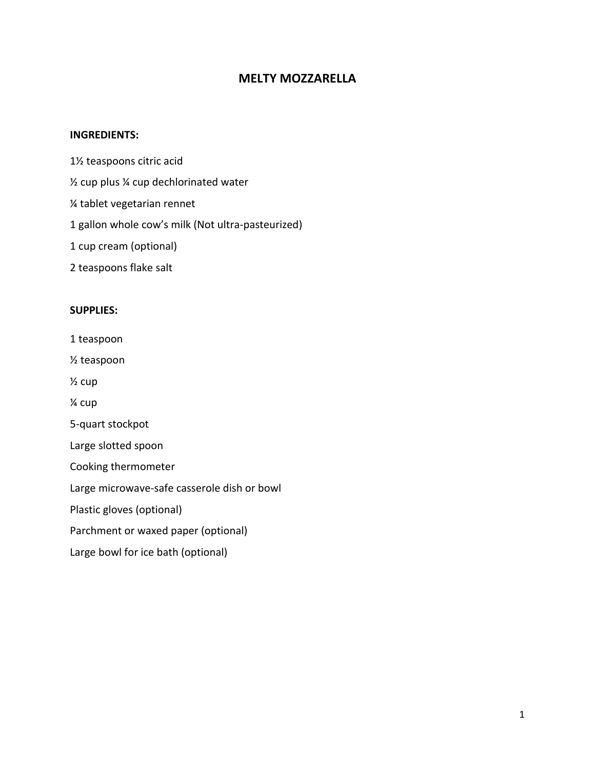# **MELTY MOZZARELLA**

#### **INGREDIENTS:**

- 1½ teaspoons citric acid
- ½ cup plus ¼ cup dechlorinated water
- ¼ tablet vegetarian rennet
- 1 gallon whole cow's milk (Not ultra-pasteurized)
- 1 cup cream (optional)
- 2 teaspoons flake salt

## **SUPPLIES:**

- 1 teaspoon
- ½ teaspoon
- ½ cup
- ¼ cup
- 5-quart stockpot
- Large slotted spoon
- Cooking thermometer
- Large microwave-safe casserole dish or bowl
- Plastic gloves (optional)
- Parchment or waxed paper (optional)
- Large bowl for ice bath (optional)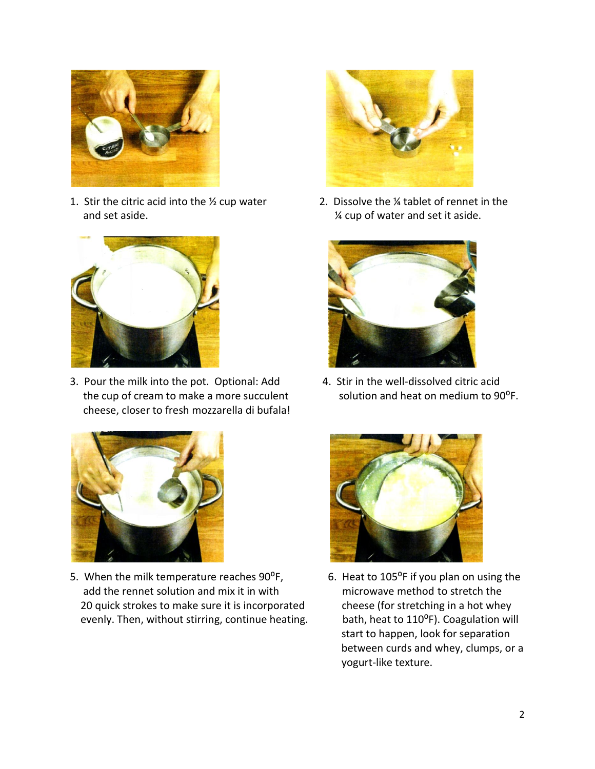

1. Stir the citric acid into the  $\frac{1}{2}$  cup water 2. Dissolve the  $\frac{1}{4}$  tablet of rennet in the and set aside.  $\frac{1}{4}$  cup of water and set it aside.



3. Pour the milk into the pot. Optional: Add 4. Stir in the well-dissolved citric acid the cup of cream to make a more succulent solution and heat on medium to 90<sup>o</sup>F. cheese, closer to fresh mozzarella di bufala!



5. When the milk temperature reaches 90°F, 6. Heat to 105°F if you plan on using the add the rennet solution and mix it in with microwave method to stretch the 20 quick strokes to make sure it is incorporated cheese (for stretching in a hot whey evenly. Then, without stirring, continue heating. bath, heat to 110<sup>o</sup>F). Coagulation will







 start to happen, look for separation between curds and whey, clumps, or a yogurt-like texture.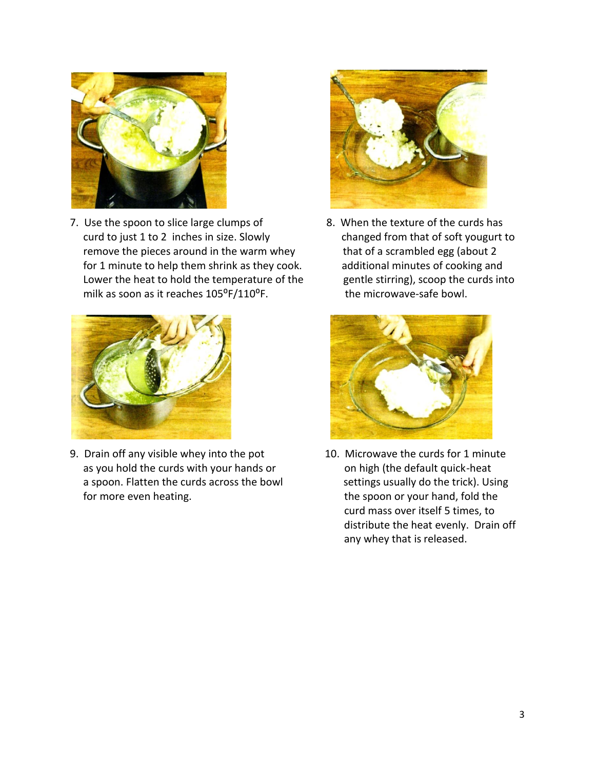

7. Use the spoon to slice large clumps of 8. When the texture of the curds has curd to just 1 to 2 inches in size. Slowly changed from that of soft yougurt to remove the pieces around in the warm whey that of a scrambled egg (about 2 for 1 minute to help them shrink as they cook. additional minutes of cooking and Lower the heat to hold the temperature of the gentle stirring), scoop the curds into milk as soon as it reaches  $105^{\circ}F/110^{\circ}F$ . the microwave-safe bowl.



9. Drain off any visible whey into the pot 10. Microwave the curds for 1 minute as you hold the curds with your hands or on high (the default quick-heat a spoon. Flatten the curds across the bowl settings usually do the trick). Using for more even heating. The spoon or your hand, fold the





 curd mass over itself 5 times, to distribute the heat evenly. Drain off any whey that is released.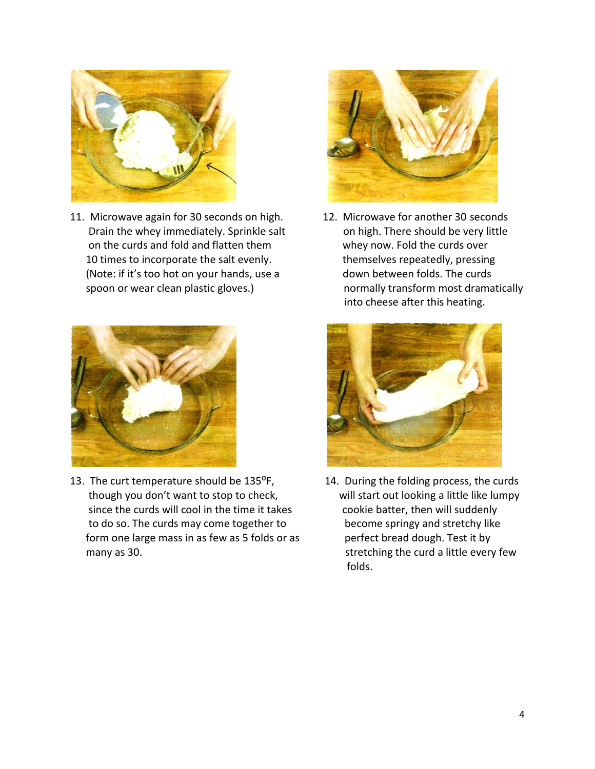

11. Microwave again for 30 seconds on high. 12. Microwave for another 30 seconds Drain the whey immediately. Sprinkle salt on high. There should be very little on the curds and fold and flatten them whey now. Fold the curds over 10 times to incorporate the salt evenly. Themselves repeatedly, pressing (Note: if it's too hot on your hands, use a down between folds. The curds spoon or wear clean plastic gloves.) https://www.mormally transform most dramatically



13. The curt temperature should be  $135^{\circ}F$ , 14. During the folding process, the curds though you don't want to stop to check, will start out looking a little like lumpy since the curds will cool in the time it takes cookie batter, then will suddenly to do so. The curds may come together to become springy and stretchy like form one large mass in as few as 5 folds or as perfect bread dough. Test it by many as 30. Solution 1. Stretching the curd a little every few



into cheese after this heating.



folds.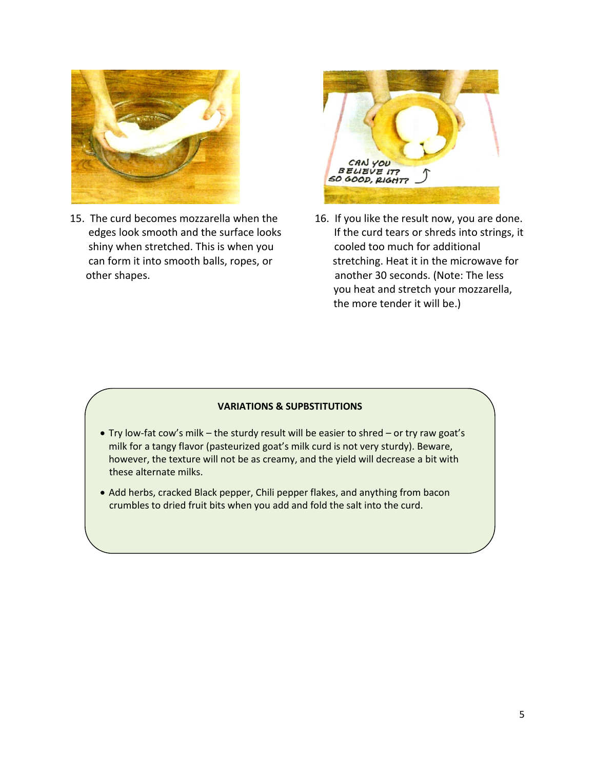

15. The curd becomes mozzarella when the 16. If you like the result now, you are done. shiny when stretched. This is when you cooled too much for additional other shapes. another 30 seconds. (Note: The less



edges look smooth and the surface looks If the curd tears or shreds into strings, it can form it into smooth balls, ropes, or stretching. Heat it in the microwave for you heat and stretch your mozzarella, the more tender it will be.)

#### **VARIATIONS & SUPBSTITUTIONS**

- Try low-fat cow's milk the sturdy result will be easier to shred or try raw goat's milk for a tangy flavor (pasteurized goat's milk curd is not very sturdy). Beware, however, the texture will not be as creamy, and the yield will decrease a bit with these alternate milks.
- Add herbs, cracked Black pepper, Chili pepper flakes, and anything from bacon crumbles to dried fruit bits when you add and fold the salt into the curd.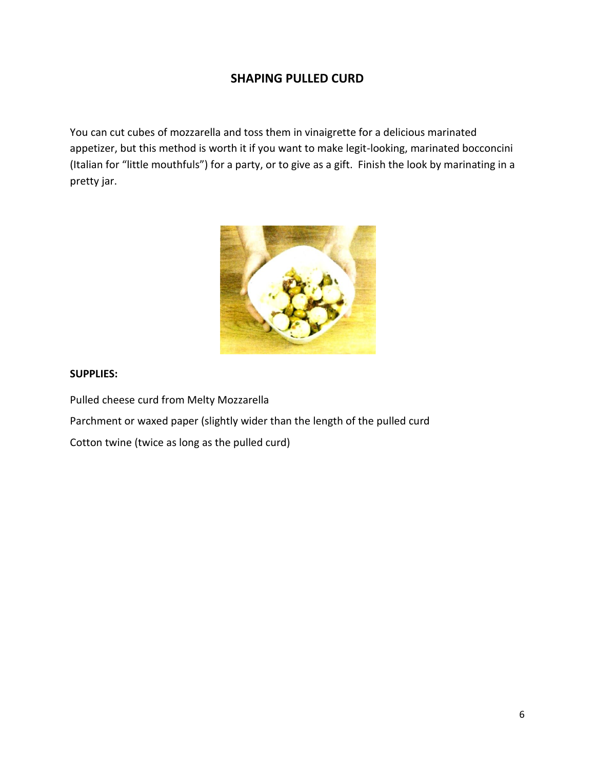# **SHAPING PULLED CURD**

You can cut cubes of mozzarella and toss them in vinaigrette for a delicious marinated appetizer, but this method is worth it if you want to make legit-looking, marinated bocconcini (Italian for "little mouthfuls") for a party, or to give as a gift. Finish the look by marinating in a pretty jar.



## **SUPPLIES:**

Pulled cheese curd from Melty Mozzarella

Parchment or waxed paper (slightly wider than the length of the pulled curd

Cotton twine (twice as long as the pulled curd)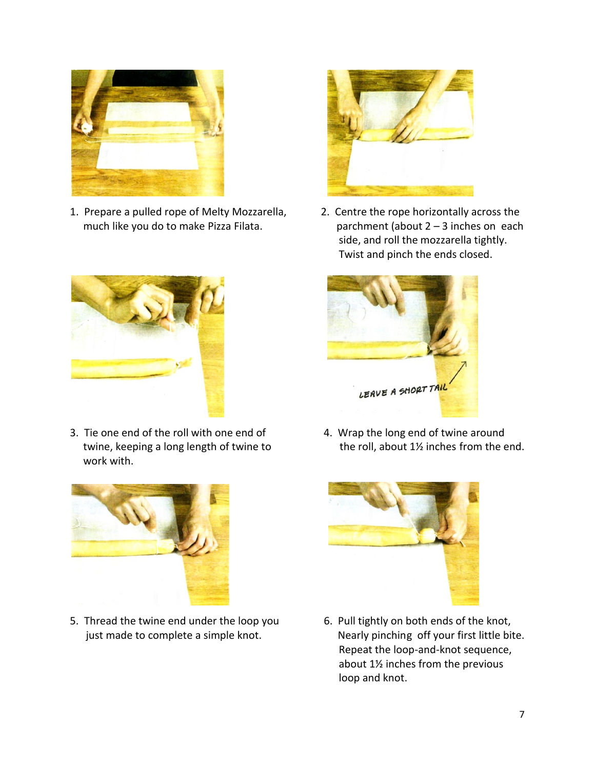

1. Prepare a pulled rope of Melty Mozzarella, 2. Centre the rope horizontally across the



3. Tie one end of the roll with one end of 4. Wrap the long end of twine around work with.



5. Thread the twine end under the loop you 6. Pull tightly on both ends of the knot,



much like you do to make Pizza Filata.  $\qquad \qquad$  parchment (about 2 – 3 inches on each side, and roll the mozzarella tightly. Twist and pinch the ends closed.



twine, keeping a long length of twine to the roll, about 1<sup>12</sup> inches from the end.



just made to complete a simple knot. Nearly pinching off your first little bite. Repeat the loop-and-knot sequence, about 1½ inches from the previous loop and knot.